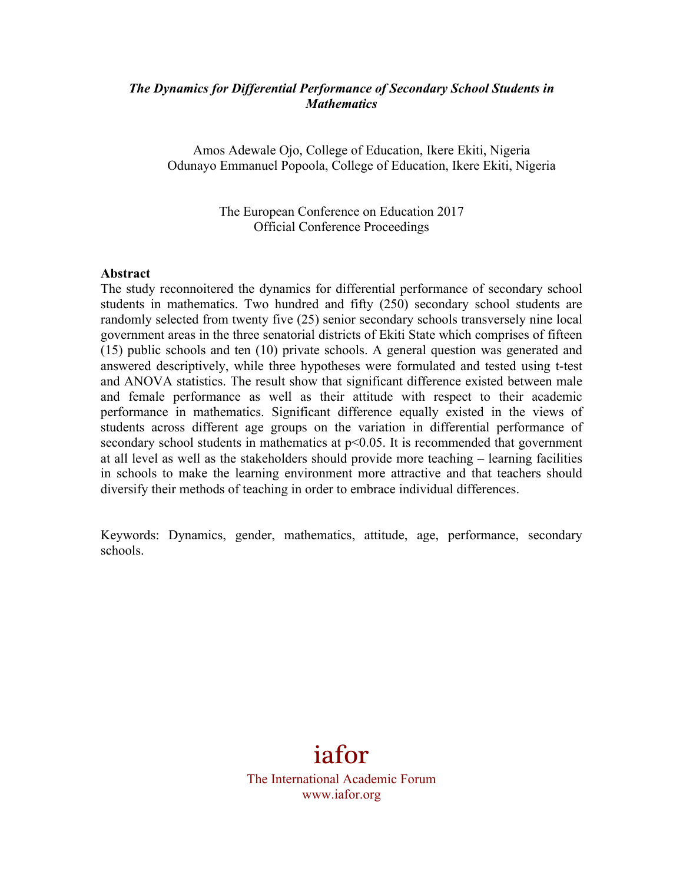### *The Dynamics for Differential Performance of Secondary School Students in Mathematics*

Amos Adewale Ojo, College of Education, Ikere Ekiti, Nigeria Odunayo Emmanuel Popoola, College of Education, Ikere Ekiti, Nigeria

> The European Conference on Education 2017 Official Conference Proceedings

#### **Abstract**

The study reconnoitered the dynamics for differential performance of secondary school students in mathematics. Two hundred and fifty (250) secondary school students are randomly selected from twenty five (25) senior secondary schools transversely nine local government areas in the three senatorial districts of Ekiti State which comprises of fifteen (15) public schools and ten (10) private schools. A general question was generated and answered descriptively, while three hypotheses were formulated and tested using t-test and ANOVA statistics. The result show that significant difference existed between male and female performance as well as their attitude with respect to their academic performance in mathematics. Significant difference equally existed in the views of students across different age groups on the variation in differential performance of secondary school students in mathematics at  $p<0.05$ . It is recommended that government at all level as well as the stakeholders should provide more teaching – learning facilities in schools to make the learning environment more attractive and that teachers should diversify their methods of teaching in order to embrace individual differences.

Keywords: Dynamics, gender, mathematics, attitude, age, performance, secondary schools.

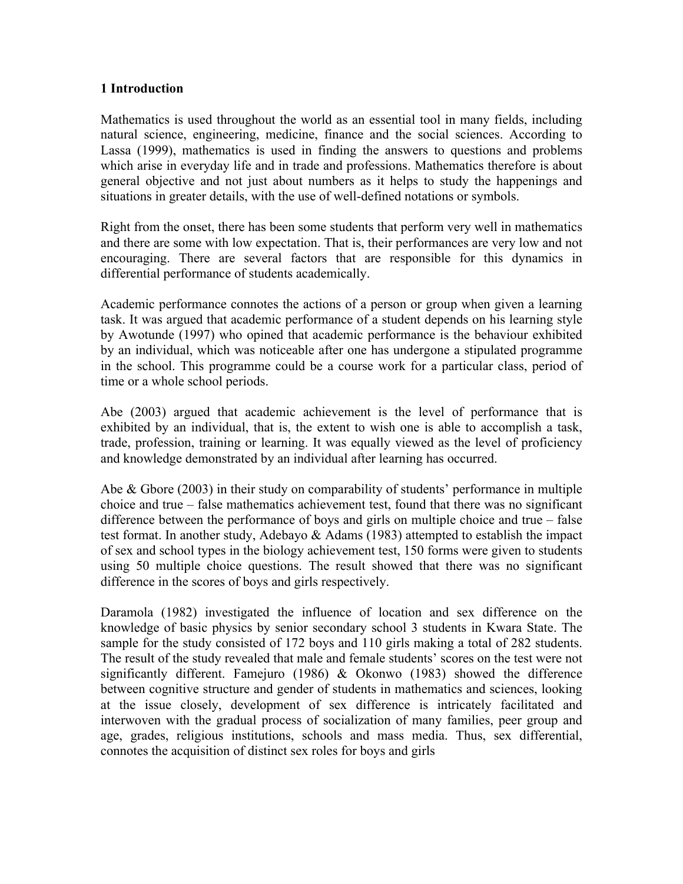### **1 Introduction**

Mathematics is used throughout the world as an essential tool in many fields, including natural science, engineering, medicine, finance and the social sciences. According to Lassa (1999), mathematics is used in finding the answers to questions and problems which arise in everyday life and in trade and professions. Mathematics therefore is about general objective and not just about numbers as it helps to study the happenings and situations in greater details, with the use of well-defined notations or symbols.

Right from the onset, there has been some students that perform very well in mathematics and there are some with low expectation. That is, their performances are very low and not encouraging. There are several factors that are responsible for this dynamics in differential performance of students academically.

Academic performance connotes the actions of a person or group when given a learning task. It was argued that academic performance of a student depends on his learning style by Awotunde (1997) who opined that academic performance is the behaviour exhibited by an individual, which was noticeable after one has undergone a stipulated programme in the school. This programme could be a course work for a particular class, period of time or a whole school periods.

Abe (2003) argued that academic achievement is the level of performance that is exhibited by an individual, that is, the extent to wish one is able to accomplish a task, trade, profession, training or learning. It was equally viewed as the level of proficiency and knowledge demonstrated by an individual after learning has occurred.

Abe & Gbore (2003) in their study on comparability of students' performance in multiple choice and true – false mathematics achievement test, found that there was no significant difference between the performance of boys and girls on multiple choice and true – false test format. In another study, Adebayo & Adams (1983) attempted to establish the impact of sex and school types in the biology achievement test, 150 forms were given to students using 50 multiple choice questions. The result showed that there was no significant difference in the scores of boys and girls respectively.

Daramola (1982) investigated the influence of location and sex difference on the knowledge of basic physics by senior secondary school 3 students in Kwara State. The sample for the study consisted of 172 boys and 110 girls making a total of 282 students. The result of the study revealed that male and female students' scores on the test were not significantly different. Famejuro (1986) & Okonwo (1983) showed the difference between cognitive structure and gender of students in mathematics and sciences, looking at the issue closely, development of sex difference is intricately facilitated and interwoven with the gradual process of socialization of many families, peer group and age, grades, religious institutions, schools and mass media. Thus, sex differential, connotes the acquisition of distinct sex roles for boys and girls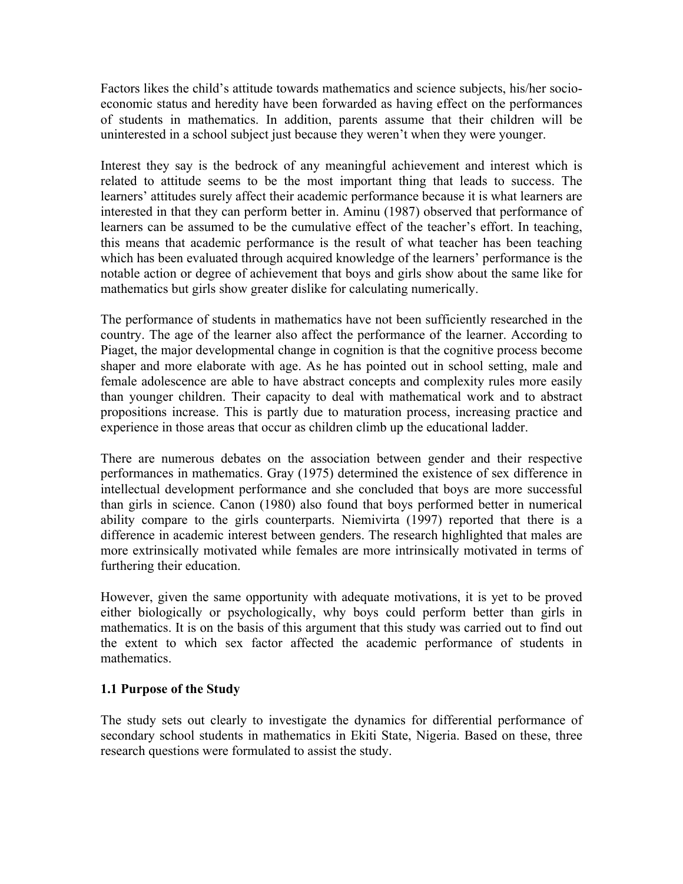Factors likes the child's attitude towards mathematics and science subjects, his/her socioeconomic status and heredity have been forwarded as having effect on the performances of students in mathematics. In addition, parents assume that their children will be uninterested in a school subject just because they weren't when they were younger.

Interest they say is the bedrock of any meaningful achievement and interest which is related to attitude seems to be the most important thing that leads to success. The learners' attitudes surely affect their academic performance because it is what learners are interested in that they can perform better in. Aminu (1987) observed that performance of learners can be assumed to be the cumulative effect of the teacher's effort. In teaching, this means that academic performance is the result of what teacher has been teaching which has been evaluated through acquired knowledge of the learners' performance is the notable action or degree of achievement that boys and girls show about the same like for mathematics but girls show greater dislike for calculating numerically.

The performance of students in mathematics have not been sufficiently researched in the country. The age of the learner also affect the performance of the learner. According to Piaget, the major developmental change in cognition is that the cognitive process become shaper and more elaborate with age. As he has pointed out in school setting, male and female adolescence are able to have abstract concepts and complexity rules more easily than younger children. Their capacity to deal with mathematical work and to abstract propositions increase. This is partly due to maturation process, increasing practice and experience in those areas that occur as children climb up the educational ladder.

There are numerous debates on the association between gender and their respective performances in mathematics. Gray (1975) determined the existence of sex difference in intellectual development performance and she concluded that boys are more successful than girls in science. Canon (1980) also found that boys performed better in numerical ability compare to the girls counterparts. Niemivirta (1997) reported that there is a difference in academic interest between genders. The research highlighted that males are more extrinsically motivated while females are more intrinsically motivated in terms of furthering their education.

However, given the same opportunity with adequate motivations, it is yet to be proved either biologically or psychologically, why boys could perform better than girls in mathematics. It is on the basis of this argument that this study was carried out to find out the extent to which sex factor affected the academic performance of students in mathematics.

## **1.1 Purpose of the Study**

The study sets out clearly to investigate the dynamics for differential performance of secondary school students in mathematics in Ekiti State, Nigeria. Based on these, three research questions were formulated to assist the study.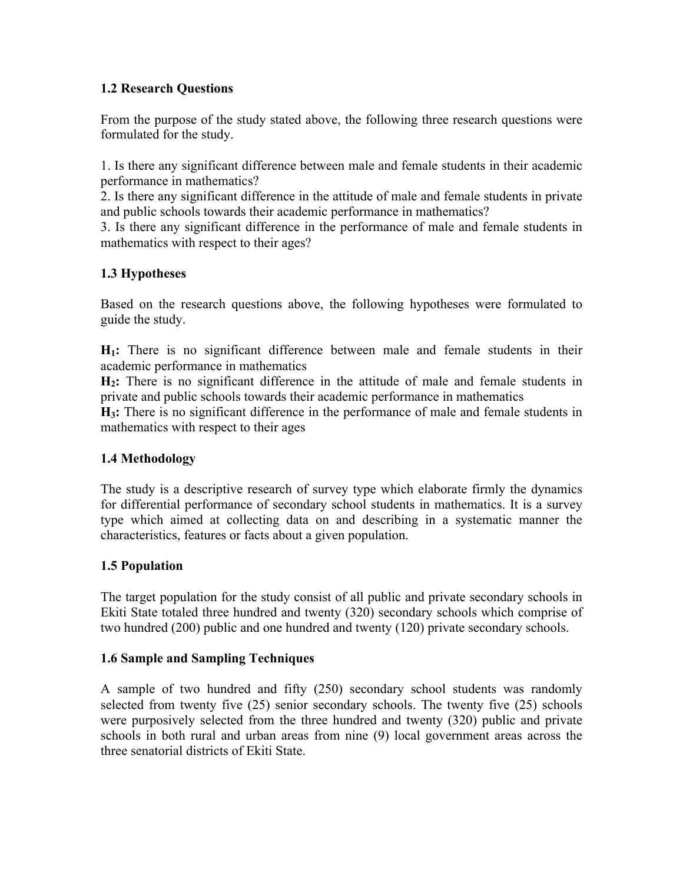## **1.2 Research Questions**

From the purpose of the study stated above, the following three research questions were formulated for the study.

1. Is there any significant difference between male and female students in their academic performance in mathematics?

2. Is there any significant difference in the attitude of male and female students in private and public schools towards their academic performance in mathematics?

3. Is there any significant difference in the performance of male and female students in mathematics with respect to their ages?

# **1.3 Hypotheses**

Based on the research questions above, the following hypotheses were formulated to guide the study.

**H1:** There is no significant difference between male and female students in their academic performance in mathematics

**H2:** There is no significant difference in the attitude of male and female students in private and public schools towards their academic performance in mathematics

**H3:** There is no significant difference in the performance of male and female students in mathematics with respect to their ages

## **1.4 Methodology**

The study is a descriptive research of survey type which elaborate firmly the dynamics for differential performance of secondary school students in mathematics. It is a survey type which aimed at collecting data on and describing in a systematic manner the characteristics, features or facts about a given population.

# **1.5 Population**

The target population for the study consist of all public and private secondary schools in Ekiti State totaled three hundred and twenty (320) secondary schools which comprise of two hundred (200) public and one hundred and twenty (120) private secondary schools.

## **1.6 Sample and Sampling Techniques**

A sample of two hundred and fifty (250) secondary school students was randomly selected from twenty five (25) senior secondary schools. The twenty five (25) schools were purposively selected from the three hundred and twenty (320) public and private schools in both rural and urban areas from nine (9) local government areas across the three senatorial districts of Ekiti State.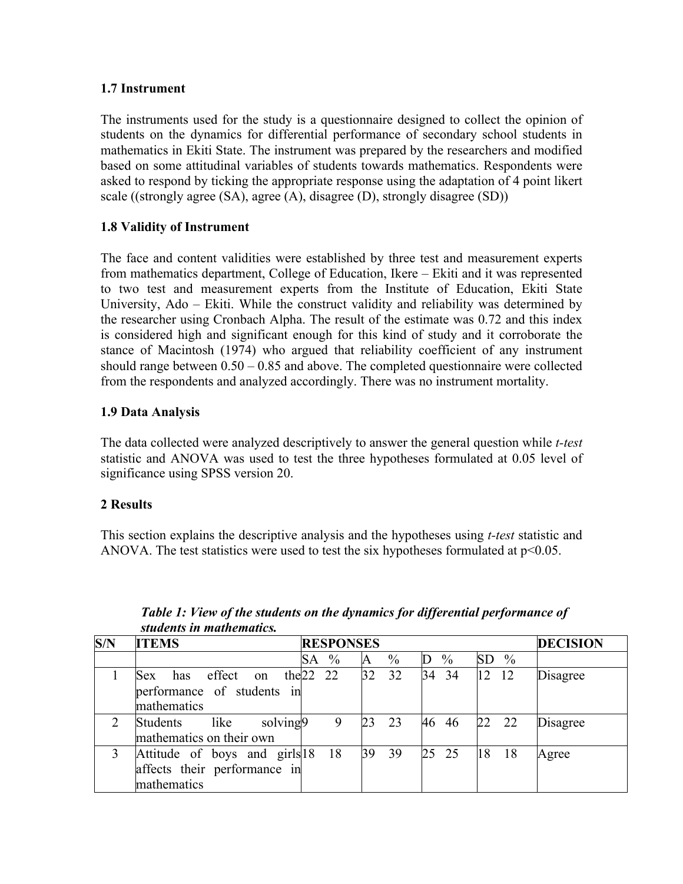## **1.7 Instrument**

The instruments used for the study is a questionnaire designed to collect the opinion of students on the dynamics for differential performance of secondary school students in mathematics in Ekiti State. The instrument was prepared by the researchers and modified based on some attitudinal variables of students towards mathematics. Respondents were asked to respond by ticking the appropriate response using the adaptation of 4 point likert scale ((strongly agree (SA), agree (A), disagree (D), strongly disagree (SD))

## **1.8 Validity of Instrument**

The face and content validities were established by three test and measurement experts from mathematics department, College of Education, Ikere – Ekiti and it was represented to two test and measurement experts from the Institute of Education, Ekiti State University, Ado – Ekiti. While the construct validity and reliability was determined by the researcher using Cronbach Alpha. The result of the estimate was 0.72 and this index is considered high and significant enough for this kind of study and it corroborate the stance of Macintosh (1974) who argued that reliability coefficient of any instrument should range between 0.50 – 0.85 and above. The completed questionnaire were collected from the respondents and analyzed accordingly. There was no instrument mortality.

## **1.9 Data Analysis**

The data collected were analyzed descriptively to answer the general question while *t-test* statistic and ANOVA was used to test the three hypotheses formulated at 0.05 level of significance using SPSS version 20.

## **2 Results**

This section explains the descriptive analysis and the hypotheses using *t-test* statistic and ANOVA. The test statistics were used to test the six hypotheses formulated at  $p<0.05$ .

| S/N | <b>ITEMS</b>                                                                   | <b>DECISION</b><br><b>RESPONSES</b> |           |                                           |          |  |  |
|-----|--------------------------------------------------------------------------------|-------------------------------------|-----------|-------------------------------------------|----------|--|--|
|     |                                                                                | $\%$<br>SА                          | $\%$<br>A | $\frac{0}{0}$<br>$\frac{0}{0}$<br>SD<br>D |          |  |  |
|     | effect<br>has<br><b>Sex</b><br>on<br>performance of students in<br>mathematics | the $22$ 22                         | 32<br>32  | 34<br>12<br>12<br>34                      | Disagree |  |  |
|     | solving9<br>Students<br>like<br>mathematics on their own                       | 9                                   | 23<br>23  | 22<br>- 22<br>46 46                       | Disagree |  |  |
|     | Attitude of boys and girls 18<br>affects their performance in<br>mathematics   | 18                                  | 39<br>39  | 25<br>25<br>18<br>-18                     | Agree    |  |  |

*Table 1: View of the students on the dynamics for differential performance of students in mathematics.*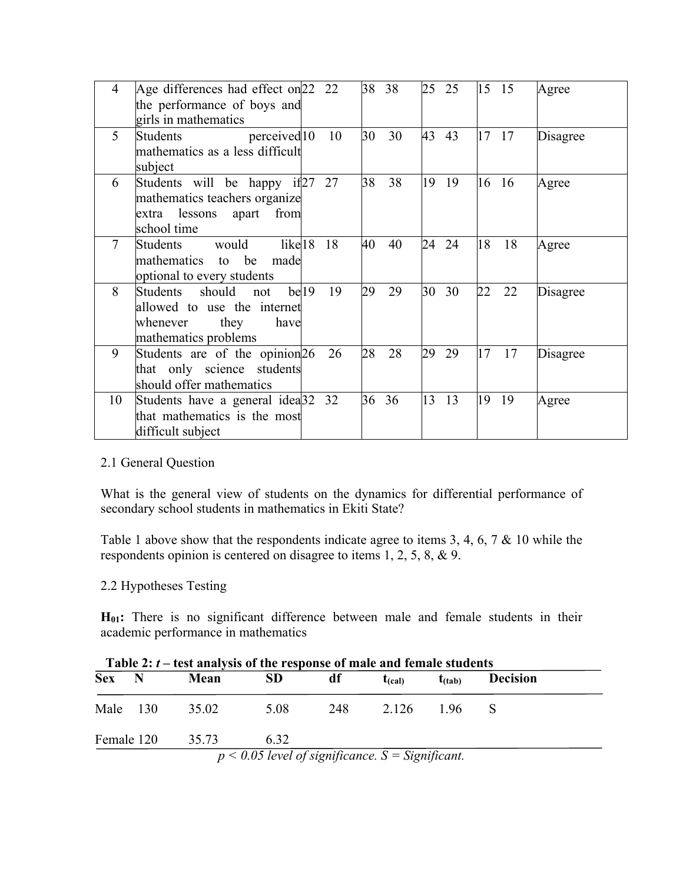| 4      | Age differences had effect on 22 22<br>the performance of boys and<br>girls in mathematics               |                  |    | 38 | 38 | 25 | 25 | 15 | -15           | Agree    |
|--------|----------------------------------------------------------------------------------------------------------|------------------|----|----|----|----|----|----|---------------|----------|
| 5      | perceived <sup>10</sup><br>Students<br>mathematics as a less difficult<br>subject                        |                  | 10 | 30 | 30 | 43 | 43 | 17 | 17            | Disagree |
| 6      | Students will be happy if 27<br>mathematics teachers organize<br>extra lessons apart from<br>school time |                  | 27 | 38 | 38 | 19 | 19 | 16 | <sup>16</sup> | Agree    |
| $\tau$ | would<br>like <sub>18</sub><br>Students<br>to be<br>mathematics<br>made<br>optional to every students    |                  | 18 | 40 | 40 | 24 | 24 | 18 | 18            | Agree    |
| 8      | Students should not<br>allowed to use the internet<br>they<br>whenever<br>have<br>mathematics problems   | be <sub>19</sub> | 19 | 29 | 29 | 30 | 30 | 22 | 22            | Disagree |
| 9      | Students are of the opinion 26<br>that only science students<br>should offer mathematics                 |                  | 26 | 28 | 28 | 29 | 29 | 17 | 17            | Disagree |
| 10     | Students have a general idea <sup>[32 32</sup> ]<br>that mathematics is the most<br>difficult subject    |                  |    | 36 | 36 | 13 | 13 | 19 | 19            | Agree    |

## 2.1 General Question

What is the general view of students on the dynamics for differential performance of secondary school students in mathematics in Ekiti State?

Table 1 above show that the respondents indicate agree to items 3, 4, 6, 7 & 10 while the respondents opinion is centered on disagree to items 1, 2, 5, 8, & 9.

## 2.2 Hypotheses Testing

**H01:** There is no significant difference between male and female students in their academic performance in mathematics

| Table 2: $t$ – test analysis of the response of male and female students |   |       |                                                      |     |                 |                      |                 |  |  |
|--------------------------------------------------------------------------|---|-------|------------------------------------------------------|-----|-----------------|----------------------|-----------------|--|--|
| <b>Sex</b>                                                               | N | Mean  | <b>SD</b>                                            | df  | $t_{\rm (cal)}$ | $t$ <sub>(tab)</sub> | <b>Decision</b> |  |  |
| Male 130                                                                 |   | 35.02 | 5.08                                                 | 248 | 2.126           | 196                  |                 |  |  |
| Female 120                                                               |   | 35.73 | 6 32                                                 |     |                 |                      |                 |  |  |
|                                                                          |   |       | $p < 0.05$ level of significance. $S =$ Significant. |     |                 |                      |                 |  |  |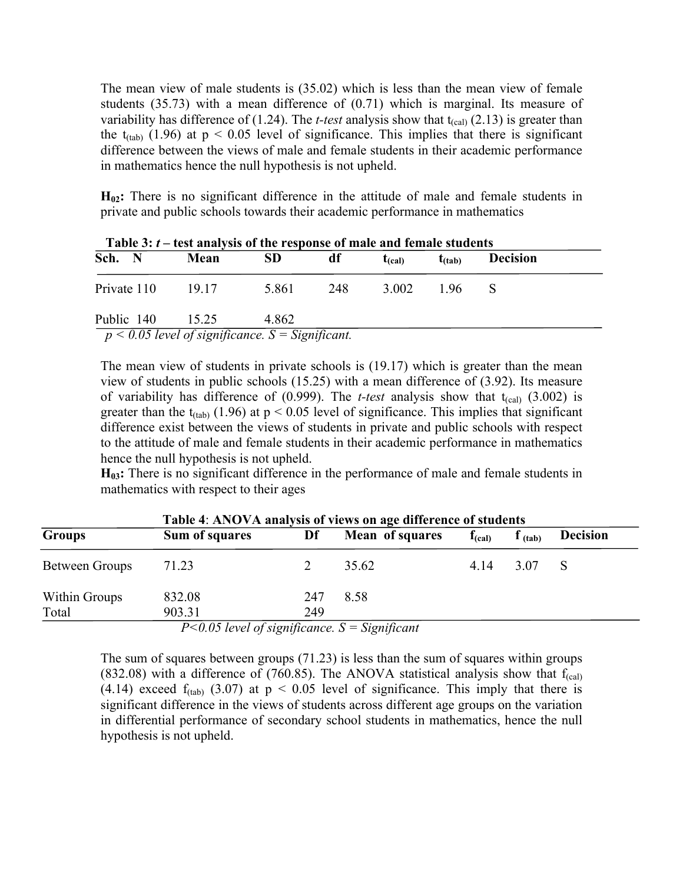The mean view of male students is (35.02) which is less than the mean view of female students (35.73) with a mean difference of (0.71) which is marginal. Its measure of variability has difference of  $(1.24)$ . The *t-test* analysis show that  $t_{\text{(cal)}}(2.13)$  is greater than the  $t<sub>(tab)</sub>$  (1.96) at  $p < 0.05$  level of significance. This implies that there is significant difference between the views of male and female students in their academic performance in mathematics hence the null hypothesis is not upheld.

**H02:** There is no significant difference in the attitude of male and female students in private and public schools towards their academic performance in mathematics

| Sch. N      | $\mathbf{r}$ and $\mathbf{v}$ , $\mathbf{r}$ and analysis of the response of male and female students<br>Mean | SD.   | df  | $t_{\rm (cal)}$ | $t$ (tab) | <b>Decision</b> |  |
|-------------|---------------------------------------------------------------------------------------------------------------|-------|-----|-----------------|-----------|-----------------|--|
| Private 110 | 19 17                                                                                                         | 5861  | 248 | 3.002           | 196       |                 |  |
| Public 140  | 15 25                                                                                                         | 4 862 |     |                 |           |                 |  |
|             | $p < 0.05$ level of significance. S = Significant.                                                            |       |     |                 |           |                 |  |

**Table 3:** *t* **– test analysis of the response of male and female students**

The mean view of students in private schools is (19.17) which is greater than the mean view of students in public schools (15.25) with a mean difference of (3.92). Its measure of variability has difference of  $(0.999)$ . The *t-test* analysis show that  $t_{\text{(cal)}} (3.002)$  is greater than the  $t_{(tab)}$  (1.96) at  $p < 0.05$  level of significance. This implies that significant difference exist between the views of students in private and public schools with respect to the attitude of male and female students in their academic performance in mathematics hence the null hypothesis is not upheld.

**H03:** There is no significant difference in the performance of male and female students in mathematics with respect to their ages

| Table 4: ANOVA analysis of views on age difference of students |                                                                                                                                                                                                                                                                                                                                                                                                                                                                                                      |     |                 |             |       |                 |  |  |  |
|----------------------------------------------------------------|------------------------------------------------------------------------------------------------------------------------------------------------------------------------------------------------------------------------------------------------------------------------------------------------------------------------------------------------------------------------------------------------------------------------------------------------------------------------------------------------------|-----|-----------------|-------------|-------|-----------------|--|--|--|
| <b>Groups</b>                                                  | Sum of squares                                                                                                                                                                                                                                                                                                                                                                                                                                                                                       | Df  | Mean of squares | $f_{(cal)}$ | (tab) | <b>Decision</b> |  |  |  |
| Between Groups                                                 | 71.23                                                                                                                                                                                                                                                                                                                                                                                                                                                                                                |     | 35.62           | 4 14        | 3.07  |                 |  |  |  |
| Within Groups                                                  | 832.08                                                                                                                                                                                                                                                                                                                                                                                                                                                                                               | 247 | 8.58            |             |       |                 |  |  |  |
| Total                                                          | 903.31<br>$\blacksquare$ $\blacksquare$ $\blacksquare$ $\blacksquare$ $\blacksquare$ $\blacksquare$ $\blacksquare$ $\blacksquare$ $\blacksquare$ $\blacksquare$ $\blacksquare$ $\blacksquare$ $\blacksquare$ $\blacksquare$ $\blacksquare$ $\blacksquare$ $\blacksquare$ $\blacksquare$ $\blacksquare$ $\blacksquare$ $\blacksquare$ $\blacksquare$ $\blacksquare$ $\blacksquare$ $\blacksquare$ $\blacksquare$ $\blacksquare$ $\blacksquare$ $\blacksquare$ $\blacksquare$ $\blacksquare$ $\blacks$ | 249 |                 |             |       |                 |  |  |  |

**Table 4**: **ANOVA analysis of views on age difference of students**

*P<0.05 level of significance. S = Significant*

The sum of squares between groups (71.23) is less than the sum of squares within groups (832.08) with a difference of (760.85). The ANOVA statistical analysis show that  $f<sub>(cal)</sub>$ (4.14) exceed  $f_{(tab)}$  (3.07) at  $p < 0.05$  level of significance. This imply that there is significant difference in the views of students across different age groups on the variation in differential performance of secondary school students in mathematics, hence the null hypothesis is not upheld.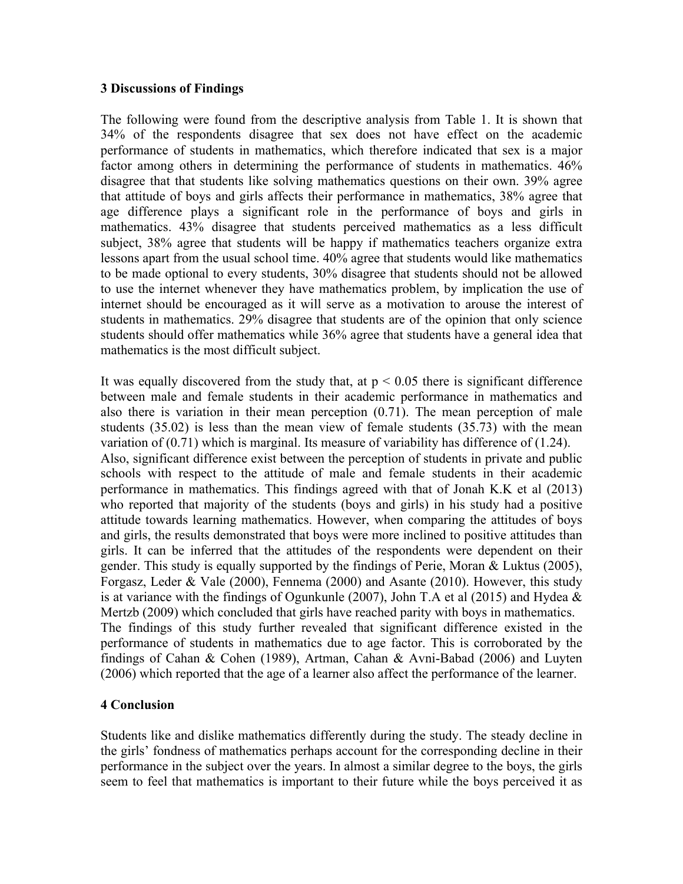#### **3 Discussions of Findings**

The following were found from the descriptive analysis from Table 1. It is shown that 34% of the respondents disagree that sex does not have effect on the academic performance of students in mathematics, which therefore indicated that sex is a major factor among others in determining the performance of students in mathematics. 46% disagree that that students like solving mathematics questions on their own. 39% agree that attitude of boys and girls affects their performance in mathematics, 38% agree that age difference plays a significant role in the performance of boys and girls in mathematics. 43% disagree that students perceived mathematics as a less difficult subject, 38% agree that students will be happy if mathematics teachers organize extra lessons apart from the usual school time. 40% agree that students would like mathematics to be made optional to every students, 30% disagree that students should not be allowed to use the internet whenever they have mathematics problem, by implication the use of internet should be encouraged as it will serve as a motivation to arouse the interest of students in mathematics. 29% disagree that students are of the opinion that only science students should offer mathematics while 36% agree that students have a general idea that mathematics is the most difficult subject.

It was equally discovered from the study that, at  $p < 0.05$  there is significant difference between male and female students in their academic performance in mathematics and also there is variation in their mean perception (0.71). The mean perception of male students (35.02) is less than the mean view of female students (35.73) with the mean variation of (0.71) which is marginal. Its measure of variability has difference of (1.24). Also, significant difference exist between the perception of students in private and public schools with respect to the attitude of male and female students in their academic performance in mathematics. This findings agreed with that of Jonah K.K et al (2013) who reported that majority of the students (boys and girls) in his study had a positive attitude towards learning mathematics. However, when comparing the attitudes of boys and girls, the results demonstrated that boys were more inclined to positive attitudes than girls. It can be inferred that the attitudes of the respondents were dependent on their gender. This study is equally supported by the findings of Perie, Moran & Luktus (2005), Forgasz, Leder & Vale (2000), Fennema (2000) and Asante (2010). However, this study is at variance with the findings of Ogunkunle (2007), John T.A et al (2015) and Hydea  $\&$ Mertzb (2009) which concluded that girls have reached parity with boys in mathematics. The findings of this study further revealed that significant difference existed in the performance of students in mathematics due to age factor. This is corroborated by the findings of Cahan & Cohen (1989), Artman, Cahan & Avni-Babad (2006) and Luyten (2006) which reported that the age of a learner also affect the performance of the learner.

#### **4 Conclusion**

Students like and dislike mathematics differently during the study. The steady decline in the girls' fondness of mathematics perhaps account for the corresponding decline in their performance in the subject over the years. In almost a similar degree to the boys, the girls seem to feel that mathematics is important to their future while the boys perceived it as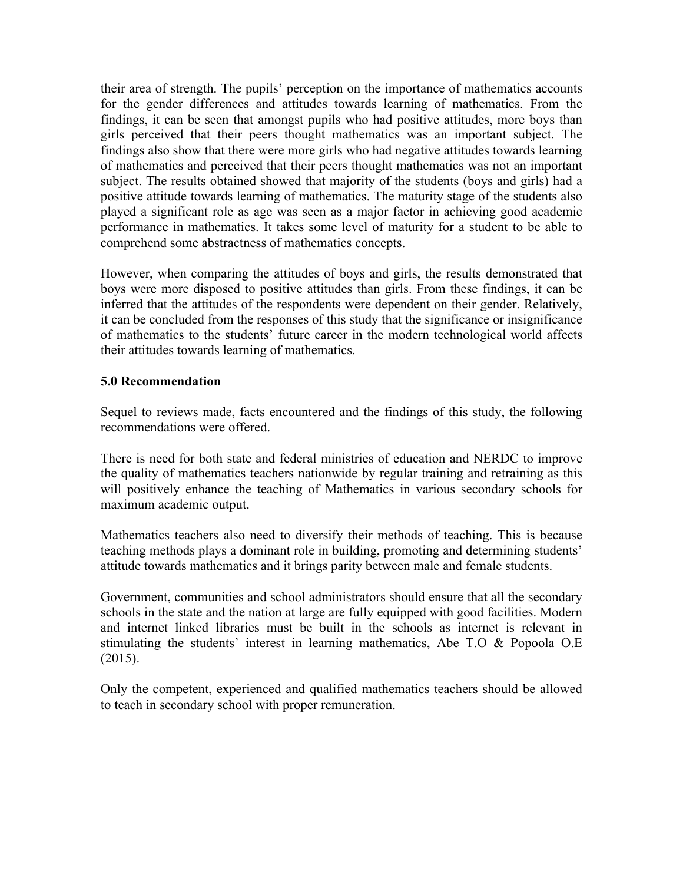their area of strength. The pupils' perception on the importance of mathematics accounts for the gender differences and attitudes towards learning of mathematics. From the findings, it can be seen that amongst pupils who had positive attitudes, more boys than girls perceived that their peers thought mathematics was an important subject. The findings also show that there were more girls who had negative attitudes towards learning of mathematics and perceived that their peers thought mathematics was not an important subject. The results obtained showed that majority of the students (boys and girls) had a positive attitude towards learning of mathematics. The maturity stage of the students also played a significant role as age was seen as a major factor in achieving good academic performance in mathematics. It takes some level of maturity for a student to be able to comprehend some abstractness of mathematics concepts.

However, when comparing the attitudes of boys and girls, the results demonstrated that boys were more disposed to positive attitudes than girls. From these findings, it can be inferred that the attitudes of the respondents were dependent on their gender. Relatively, it can be concluded from the responses of this study that the significance or insignificance of mathematics to the students' future career in the modern technological world affects their attitudes towards learning of mathematics.

## **5.0 Recommendation**

Sequel to reviews made, facts encountered and the findings of this study, the following recommendations were offered.

There is need for both state and federal ministries of education and NERDC to improve the quality of mathematics teachers nationwide by regular training and retraining as this will positively enhance the teaching of Mathematics in various secondary schools for maximum academic output.

Mathematics teachers also need to diversify their methods of teaching. This is because teaching methods plays a dominant role in building, promoting and determining students' attitude towards mathematics and it brings parity between male and female students.

Government, communities and school administrators should ensure that all the secondary schools in the state and the nation at large are fully equipped with good facilities. Modern and internet linked libraries must be built in the schools as internet is relevant in stimulating the students' interest in learning mathematics, Abe T.O & Popoola O.E (2015).

Only the competent, experienced and qualified mathematics teachers should be allowed to teach in secondary school with proper remuneration.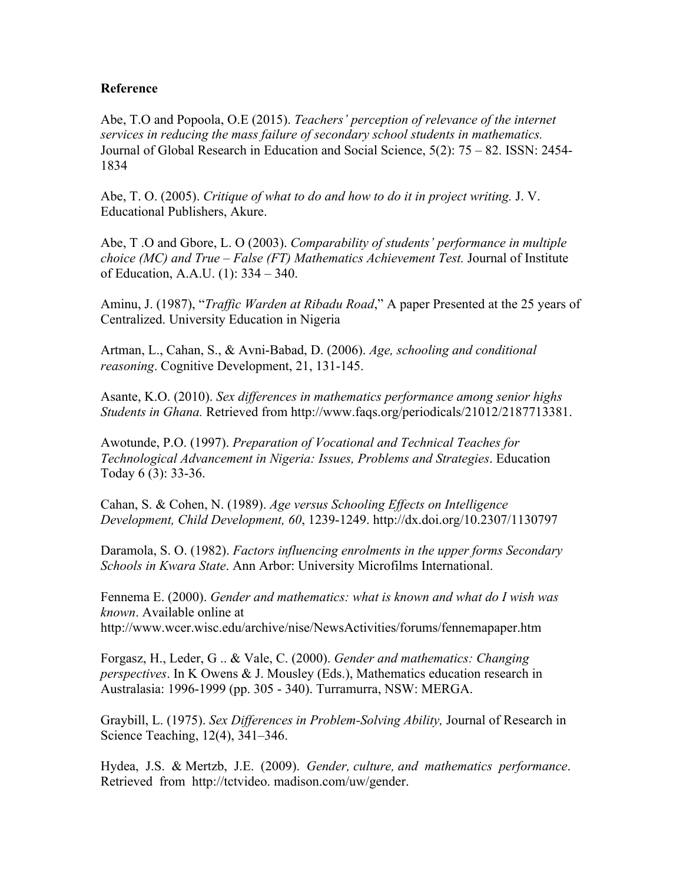#### **Reference**

Abe, T.O and Popoola, O.E (2015). *Teachers' perception of relevance of the internet services in reducing the mass failure of secondary school students in mathematics.*  Journal of Global Research in Education and Social Science, 5(2): 75 – 82. ISSN: 2454- 1834

Abe, T. O. (2005). *Critique of what to do and how to do it in project writing.* J. V. Educational Publishers, Akure.

Abe, T .O and Gbore, L. O (2003). *Comparability of students' performance in multiple choice (MC) and True – False (FT) Mathematics Achievement Test.* Journal of Institute of Education, A.A.U. (1): 334 – 340.

Aminu, J. (1987), "*Traffic Warden at Ribadu Road*," A paper Presented at the 25 years of Centralized. University Education in Nigeria

Artman, L., Cahan, S., & Avni-Babad, D. (2006). *Age, schooling and conditional reasoning*. Cognitive Development, 21, 131-145.

Asante, K.O. (2010). *Sex differences in mathematics performance among senior highs Students in Ghana.* Retrieved from http://www.faqs.org/periodicals/21012/2187713381.

Awotunde, P.O. (1997). *Preparation of Vocational and Technical Teaches for Technological Advancement in Nigeria: Issues, Problems and Strategies*. Education Today 6 (3): 33-36.

Cahan, S. & Cohen, N. (1989). *Age versus Schooling Effects on Intelligence Development, Child Development, 60*, 1239-1249. http://dx.doi.org/10.2307/1130797

Daramola, S. O. (1982). *Factors influencing enrolments in the upper forms Secondary Schools in Kwara State*. Ann Arbor: University Microfilms International.

Fennema E. (2000). *Gender and mathematics: what is known and what do I wish was known*. Available online at http://www.wcer.wisc.edu/archive/nise/NewsActivities/forums/fennemapaper.htm

Forgasz, H., Leder, G .. & Vale, C. (2000). *Gender and mathematics: Changing perspectives*. In K Owens & J. Mousley (Eds.), Mathematics education research in Australasia: 1996-1999 (pp. 305 - 340). Turramurra, NSW: MERGA.

Graybill, L. (1975). *Sex Differences in Problem-Solving Ability,* Journal of Research in Science Teaching, 12(4), 341–346.

Hydea, J.S. & Mertzb, J.E. (2009). *Gender, culture, and mathematics performance*. Retrieved from http://tctvideo. madison.com/uw/gender.